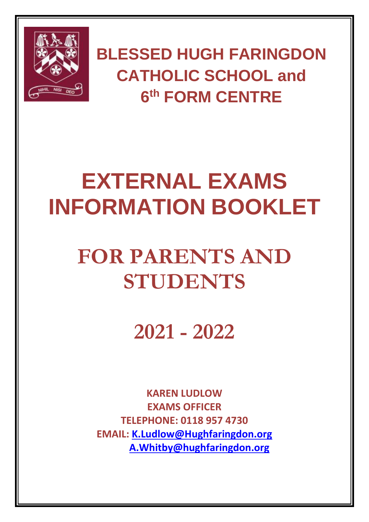

**BLESSED HUGH FARINGDON CATHOLIC SCHOOL and 6 th FORM CENTRE**

# **EXTERNAL EXAMS INFORMATION BOOKLET**

## **FOR PARENTS AND STUDENTS**

**2021 - 2022**

**KAREN LUDLOW EXAMS OFFICER TELEPHONE: 0118 957 4730 EMAIL: [K.Ludlow@Hughfaringdon.org](mailto:K.Ludlow@Hughfaringdon.org) [A.Whitby@hughfaringdon.org](mailto:A.Whitby@hughfaringdon.org)**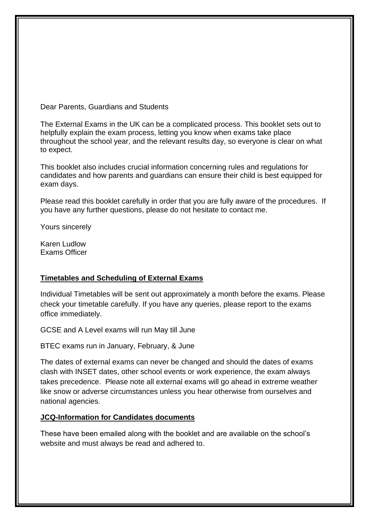Dear Parents, Guardians and Students

The External Exams in the UK can be a complicated process. This booklet sets out to helpfully explain the exam process, letting you know when exams take place throughout the school year, and the relevant results day, so everyone is clear on what to expect.

This booklet also includes crucial information concerning rules and regulations for candidates and how parents and guardians can ensure their child is best equipped for exam days.

Please read this booklet carefully in order that you are fully aware of the procedures. If you have any further questions, please do not hesitate to contact me.

Yours sincerely

Karen Ludlow Exams Officer

#### **Timetables and Scheduling of External Exams**

Individual Timetables will be sent out approximately a month before the exams. Please check your timetable carefully. If you have any queries, please report to the exams office immediately.

GCSE and A Level exams will run May till June

BTEC exams run in January, February, & June

The dates of external exams can never be changed and should the dates of exams clash with INSET dates, other school events or work experience, the exam always takes precedence. Please note all external exams will go ahead in extreme weather like snow or adverse circumstances unless you hear otherwise from ourselves and national agencies.

#### **JCQ-Information for Candidates documents**

These have been emailed along with the booklet and are available on the school's website and must always be read and adhered to.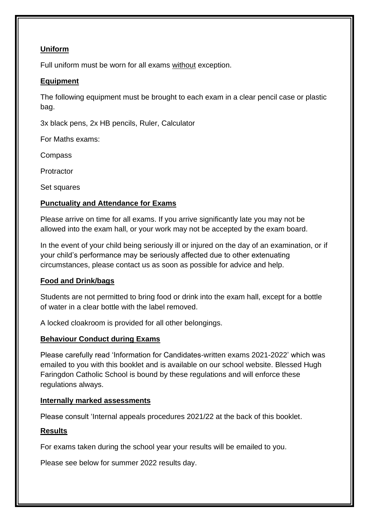#### **Uniform**

Full uniform must be worn for all exams without exception.

#### **Equipment**

The following equipment must be brought to each exam in a clear pencil case or plastic bag.

3x black pens, 2x HB pencils, Ruler, Calculator

For Maths exams:

Compass

**Protractor** 

Set squares

## **Punctuality and Attendance for Exams**

Please arrive on time for all exams. If you arrive significantly late you may not be allowed into the exam hall, or your work may not be accepted by the exam board.

In the event of your child being seriously ill or injured on the day of an examination, or if your child's performance may be seriously affected due to other extenuating circumstances, please contact us as soon as possible for advice and help.

## **Food and Drink/bags**

Students are not permitted to bring food or drink into the exam hall, except for a bottle of water in a clear bottle with the label removed.

A locked cloakroom is provided for all other belongings.

## **Behaviour Conduct during Exams**

Please carefully read 'Information for Candidates-written exams 2021-2022' which was emailed to you with this booklet and is available on our school website. Blessed Hugh Faringdon Catholic School is bound by these regulations and will enforce these regulations always.

## **Internally marked assessments**

Please consult 'Internal appeals procedures 2021/22 at the back of this booklet.

## **Results**

For exams taken during the school year your results will be emailed to you.

Please see below for summer 2022 results day.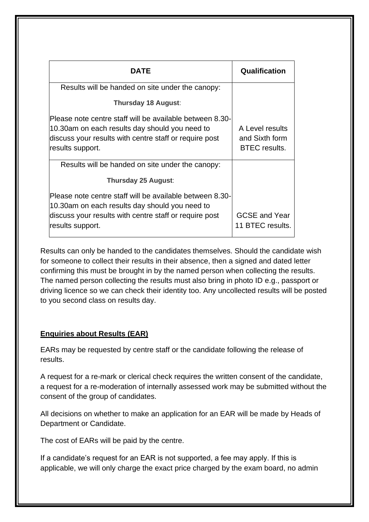| DATE                                                     | Qualification        |
|----------------------------------------------------------|----------------------|
| Results will be handed on site under the canopy:         |                      |
| Thursday 18 August:                                      |                      |
| Please note centre staff will be available between 8.30- |                      |
| 10.30am on each results day should you need to           | A Level results      |
| discuss your results with centre staff or require post   | and Sixth form       |
| results support.                                         | <b>BTEC</b> results. |
| Results will be handed on site under the canopy:         |                      |
| Thursday 25 August:                                      |                      |
| Please note centre staff will be available between 8.30- |                      |
| 10.30am on each results day should you need to           |                      |
| discuss your results with centre staff or require post   | <b>GCSE and Year</b> |
| results support.                                         | 11 BTEC results.     |

Results can only be handed to the candidates themselves. Should the candidate wish for someone to collect their results in their absence, then a signed and dated letter confirming this must be brought in by the named person when collecting the results. The named person collecting the results must also bring in photo ID e.g., passport or driving licence so we can check their identity too. Any uncollected results will be posted to you second class on results day.

## **Enquiries about Results (EAR)**

EARs may be requested by centre staff or the candidate following the release of results.

A request for a re-mark or clerical check requires the written consent of the candidate, a request for a re-moderation of internally assessed work may be submitted without the consent of the group of candidates.

All decisions on whether to make an application for an EAR will be made by Heads of Department or Candidate.

The cost of EARs will be paid by the centre.

If a candidate's request for an EAR is not supported, a fee may apply. If this is applicable, we will only charge the exact price charged by the exam board, no admin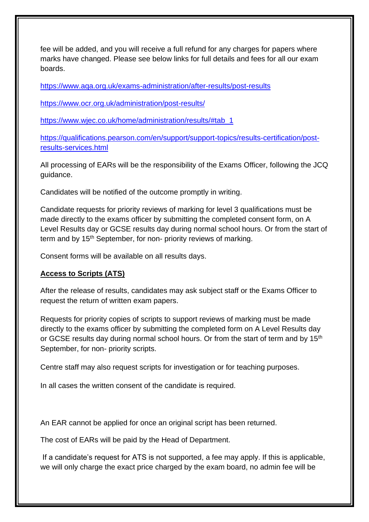fee will be added, and you will receive a full refund for any charges for papers where marks have changed. Please see below links for full details and fees for all our exam boards.

<https://www.aqa.org.uk/exams-administration/after-results/post-results>

<https://www.ocr.org.uk/administration/post-results/>

[https://www.wjec.co.uk/home/administration/results/#tab\\_1](https://www.wjec.co.uk/home/administration/results/#tab_1)

[https://qualifications.pearson.com/en/support/support-topics/results-certification/post](https://qualifications.pearson.com/en/support/support-topics/results-certification/post-results-services.html)[results-services.html](https://qualifications.pearson.com/en/support/support-topics/results-certification/post-results-services.html)

All processing of EARs will be the responsibility of the Exams Officer, following the JCQ guidance.

Candidates will be notified of the outcome promptly in writing.

Candidate requests for priority reviews of marking for level 3 qualifications must be made directly to the exams officer by submitting the completed consent form, on A Level Results day or GCSE results day during normal school hours. Or from the start of term and by 15<sup>th</sup> September, for non- priority reviews of marking.

Consent forms will be available on all results days.

#### **Access to Scripts (ATS)**

After the release of results, candidates may ask subject staff or the Exams Officer to request the return of written exam papers.

Requests for priority copies of scripts to support reviews of marking must be made directly to the exams officer by submitting the completed form on A Level Results day or GCSE results day during normal school hours. Or from the start of term and by 15<sup>th</sup> September, for non- priority scripts.

Centre staff may also request scripts for investigation or for teaching purposes.

In all cases the written consent of the candidate is required.

An EAR cannot be applied for once an original script has been returned.

The cost of EARs will be paid by the Head of Department.

If a candidate's request for ATS is not supported, a fee may apply. If this is applicable, we will only charge the exact price charged by the exam board, no admin fee will be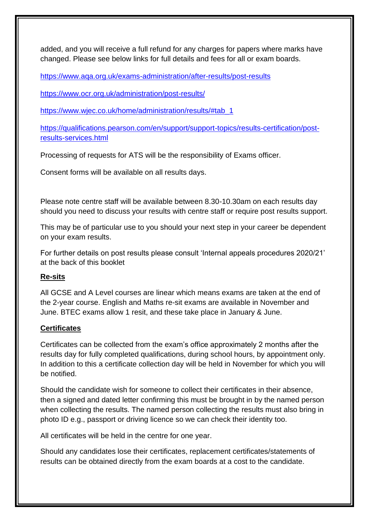added, and you will receive a full refund for any charges for papers where marks have changed. Please see below links for full details and fees for all or exam boards.

<https://www.aqa.org.uk/exams-administration/after-results/post-results>

<https://www.ocr.org.uk/administration/post-results/>

[https://www.wjec.co.uk/home/administration/results/#tab\\_1](https://www.wjec.co.uk/home/administration/results/#tab_1)

[https://qualifications.pearson.com/en/support/support-topics/results-certification/post](https://qualifications.pearson.com/en/support/support-topics/results-certification/post-results-services.html)[results-services.html](https://qualifications.pearson.com/en/support/support-topics/results-certification/post-results-services.html)

Processing of requests for ATS will be the responsibility of Exams officer.

Consent forms will be available on all results days.

Please note centre staff will be available between 8.30-10.30am on each results day should you need to discuss your results with centre staff or require post results support.

This may be of particular use to you should your next step in your career be dependent on your exam results.

For further details on post results please consult 'Internal appeals procedures 2020/21' at the back of this booklet

## **Re-sits**

All GCSE and A Level courses are linear which means exams are taken at the end of the 2-year course. English and Maths re-sit exams are available in November and June. BTEC exams allow 1 resit, and these take place in January & June.

## **Certificates**

Certificates can be collected from the exam's office approximately 2 months after the results day for fully completed qualifications, during school hours, by appointment only. In addition to this a certificate collection day will be held in November for which you will be notified.

Should the candidate wish for someone to collect their certificates in their absence, then a signed and dated letter confirming this must be brought in by the named person when collecting the results. The named person collecting the results must also bring in photo ID e.g., passport or driving licence so we can check their identity too.

All certificates will be held in the centre for one year.

Should any candidates lose their certificates, replacement certificates/statements of results can be obtained directly from the exam boards at a cost to the candidate.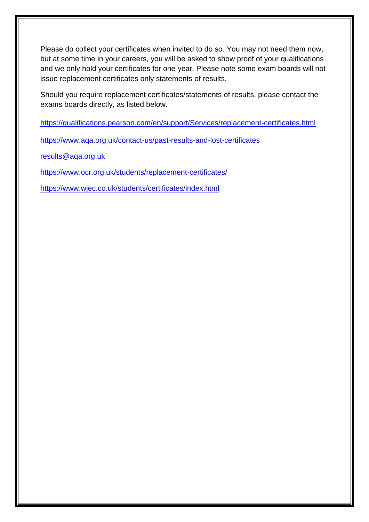Please do collect your certificates when invited to do so. You may not need them now, but at some time in your careers, you will be asked to show proof of your qualifications and we only hold your certificates for one year. Please note some exam boards will not issue replacement certificates only statements of results.

Should you require replacement certificates/statements of results, please contact the exams boards directly, as listed below.

<https://qualifications.pearson.com/en/support/Services/replacement-certificates.html>

<https://www.aqa.org.uk/contact-us/past-results-and-lost-certificates>

[results@aqa.org.uk](mailto:results@aqa.org.uk)

<https://www.ocr.org.uk/students/replacement-certificates/>

<https://www.wjec.co.uk/students/certificates/index.html>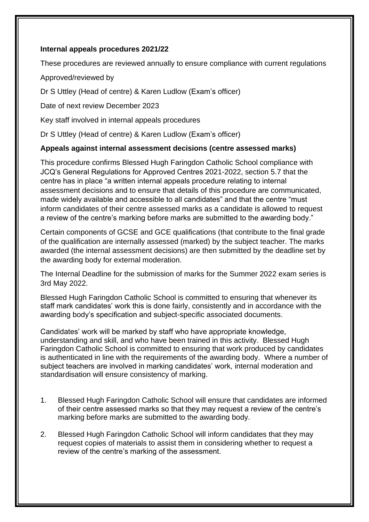#### **Internal appeals procedures 2021/22**

These procedures are reviewed annually to ensure compliance with current regulations

Approved/reviewed by

Dr S Uttley (Head of centre) & Karen Ludlow (Exam's officer)

Date of next review December 2023

Key staff involved in internal appeals procedures

Dr S Uttley (Head of centre) & Karen Ludlow (Exam's officer)

#### **Appeals against internal assessment decisions (centre assessed marks)**

This procedure confirms Blessed Hugh Faringdon Catholic School compliance with JCQ's General Regulations for Approved Centres 2021-2022, section 5.7 that the centre has in place "a written internal appeals procedure relating to internal assessment decisions and to ensure that details of this procedure are communicated, made widely available and accessible to all candidates" and that the centre "must inform candidates of their centre assessed marks as a candidate is allowed to request a review of the centre's marking before marks are submitted to the awarding body."

Certain components of GCSE and GCE qualifications (that contribute to the final grade of the qualification are internally assessed (marked) by the subject teacher. The marks awarded (the internal assessment decisions) are then submitted by the deadline set by the awarding body for external moderation.

The Internal Deadline for the submission of marks for the Summer 2022 exam series is 3rd May 2022.

Blessed Hugh Faringdon Catholic School is committed to ensuring that whenever its staff mark candidates' work this is done fairly, consistently and in accordance with the awarding body's specification and subject-specific associated documents.

Candidates' work will be marked by staff who have appropriate knowledge, understanding and skill, and who have been trained in this activity. Blessed Hugh Faringdon Catholic School is committed to ensuring that work produced by candidates is authenticated in line with the requirements of the awarding body. Where a number of subject teachers are involved in marking candidates' work, internal moderation and standardisation will ensure consistency of marking.

- 1. Blessed Hugh Faringdon Catholic School will ensure that candidates are informed of their centre assessed marks so that they may request a review of the centre's marking before marks are submitted to the awarding body.
- 2. Blessed Hugh Faringdon Catholic School will inform candidates that they may request copies of materials to assist them in considering whether to request a review of the centre's marking of the assessment.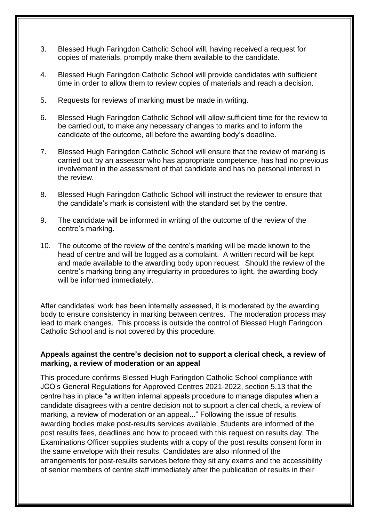- 3. Blessed Hugh Faringdon Catholic School will, having received a request for copies of materials, promptly make them available to the candidate.
- 4. Blessed Hugh Faringdon Catholic School will provide candidates with sufficient time in order to allow them to review copies of materials and reach a decision.
- 5. Requests for reviews of marking **must** be made in writing.
- 6. Blessed Hugh Faringdon Catholic School will allow sufficient time for the review to be carried out, to make any necessary changes to marks and to inform the candidate of the outcome, all before the awarding body's deadline.
- 7. Blessed Hugh Faringdon Catholic School will ensure that the review of marking is carried out by an assessor who has appropriate competence, has had no previous involvement in the assessment of that candidate and has no personal interest in the review.
- 8. Blessed Hugh Faringdon Catholic School will instruct the reviewer to ensure that the candidate's mark is consistent with the standard set by the centre.
- 9. The candidate will be informed in writing of the outcome of the review of the centre's marking.
- 10. The outcome of the review of the centre's marking will be made known to the head of centre and will be logged as a complaint. A written record will be kept and made available to the awarding body upon request. Should the review of the centre's marking bring any irregularity in procedures to light, the awarding body will be informed immediately.

After candidates' work has been internally assessed, it is moderated by the awarding body to ensure consistency in marking between centres. The moderation process may lead to mark changes. This process is outside the control of Blessed Hugh Faringdon Catholic School and is not covered by this procedure.

#### **Appeals against the centre's decision not to support a clerical check, a review of marking, a review of moderation or an appeal**

This procedure confirms Blessed Hugh Faringdon Catholic School compliance with JCQ's General Regulations for Approved Centres 2021-2022, section 5.13 that the centre has in place "a written internal appeals procedure to manage disputes when a candidate disagrees with a centre decision not to support a clerical check, a review of marking, a review of moderation or an appeal..." Following the issue of results, awarding bodies make post-results services available. Students are informed of the post results fees, deadlines and how to proceed with this request on results day. The Examinations Officer supplies students with a copy of the post results consent form in the same envelope with their results. Candidates are also informed of the arrangements for post-results services before they sit any exams and the accessibility of senior members of centre staff immediately after the publication of results in their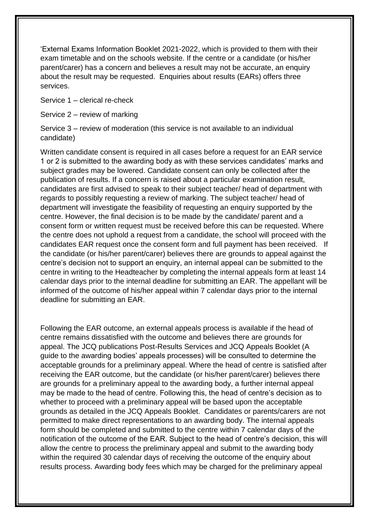'External Exams Information Booklet 2021-2022, which is provided to them with their exam timetable and on the schools website. If the centre or a candidate (or his/her parent/carer) has a concern and believes a result may not be accurate, an enquiry about the result may be requested. Enquiries about results (EARs) offers three services.

Service 1 – clerical re-check

Service 2 – review of marking

Service 3 – review of moderation (this service is not available to an individual candidate)

Written candidate consent is required in all cases before a request for an EAR service 1 or 2 is submitted to the awarding body as with these services candidates' marks and subject grades may be lowered. Candidate consent can only be collected after the publication of results. If a concern is raised about a particular examination result, candidates are first advised to speak to their subject teacher/ head of department with regards to possibly requesting a review of marking. The subject teacher/ head of department will investigate the feasibility of requesting an enquiry supported by the centre. However, the final decision is to be made by the candidate/ parent and a consent form or written request must be received before this can be requested. Where the centre does not uphold a request from a candidate, the school will proceed with the candidates EAR request once the consent form and full payment has been received. If the candidate (or his/her parent/carer) believes there are grounds to appeal against the centre's decision not to support an enquiry, an internal appeal can be submitted to the centre in writing to the Headteacher by completing the internal appeals form at least 14 calendar days prior to the internal deadline for submitting an EAR. The appellant will be informed of the outcome of his/her appeal within 7 calendar days prior to the internal deadline for submitting an EAR.

Following the EAR outcome, an external appeals process is available if the head of centre remains dissatisfied with the outcome and believes there are grounds for appeal. The JCQ publications Post-Results Services and JCQ Appeals Booklet (A guide to the awarding bodies' appeals processes) will be consulted to determine the acceptable grounds for a preliminary appeal. Where the head of centre is satisfied after receiving the EAR outcome, but the candidate (or his/her parent/carer) believes there are grounds for a preliminary appeal to the awarding body, a further internal appeal may be made to the head of centre. Following this, the head of centre's decision as to whether to proceed with a preliminary appeal will be based upon the acceptable grounds as detailed in the JCQ Appeals Booklet. Candidates or parents/carers are not permitted to make direct representations to an awarding body. The internal appeals form should be completed and submitted to the centre within 7 calendar days of the notification of the outcome of the EAR. Subject to the head of centre's decision, this will allow the centre to process the preliminary appeal and submit to the awarding body within the required 30 calendar days of receiving the outcome of the enquiry about results process. Awarding body fees which may be charged for the preliminary appeal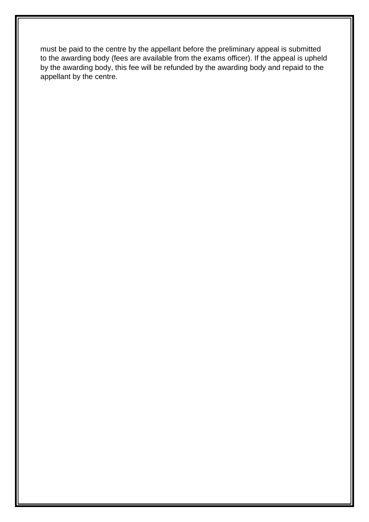must be paid to the centre by the appellant before the preliminary appeal is submitted to the awarding body (fees are available from the exams officer). If the appeal is upheld by the awarding body, this fee will be refunded by the awarding body and repaid to the appellant by the centre.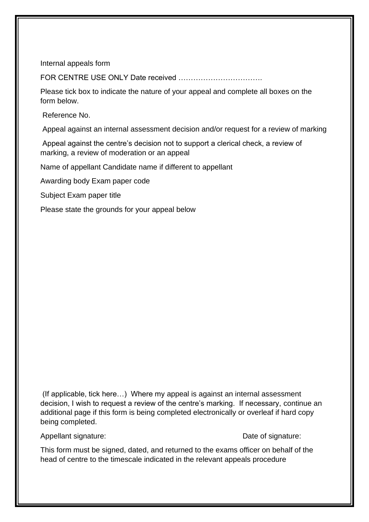Internal appeals form

FOR CENTRE USE ONLY Date received …………………………….

Please tick box to indicate the nature of your appeal and complete all boxes on the form below.

Reference No.

Appeal against an internal assessment decision and/or request for a review of marking

Appeal against the centre's decision not to support a clerical check, a review of marking, a review of moderation or an appeal

Name of appellant Candidate name if different to appellant

Awarding body Exam paper code

Subject Exam paper title

Please state the grounds for your appeal below

(If applicable, tick here…) Where my appeal is against an internal assessment decision, I wish to request a review of the centre's marking. If necessary, continue an additional page if this form is being completed electronically or overleaf if hard copy being completed.

Appellant signature:  $\Box$  Date of signature:

This form must be signed, dated, and returned to the exams officer on behalf of the head of centre to the timescale indicated in the relevant appeals procedure